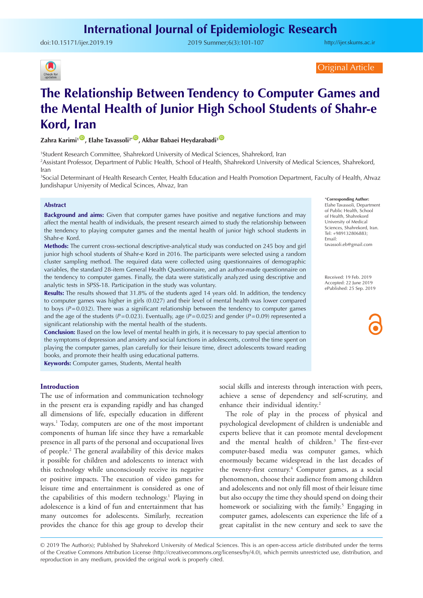doi:10.15171/ijer.2019.19 2019 Summer;6(3):101-107

<http://ijer.skums.ac.ir>



Original Article

# **The Relationship Between Tendency to Computer Games and the Mental Health of Junior High School Students of Shahr-e Kord, Iran**

**Zahra Karimi<sup>1</sup><sup>0</sup>, Elahe Tavassoli<sup>2</sup><sup>. 10</sup>, Akbar Babaei Heydarabadi<sup>3</sup> <sup>10</sup>** 

1 Student Research Committee, Shahrekord University of Medical Sciences, Shahrekord, Iran

2 Assistant Professor, Department of Public Health, School of Health, Shahrekord University of Medical Sciences, Shahrekord, Iran

3 Social Determinant of Health Research Center, Health Education and Health Promotion Department, Faculty of Health, Ahvaz Jundishapur Uniyersity of Medical Scinces, Ahvaz, Iran

## **Abstract**

**Background and aims:** Given that computer games have positive and negative functions and may affect the mental health of individuals, the present research aimed to study the relationship between the tendency to playing computer games and the mental health of junior high school students in Shahr-e Kord.

**Methods:** The current cross-sectional descriptive-analytical study was conducted on 245 boy and girl junior high school students of Shahr-e Kord in 2016. The participants were selected using a random cluster sampling method. The required data were collected using questionnaires of demographic variables, the standard 28-item General Health Questionnaire, and an author-made questionnaire on the tendency to computer games. Finally, the data were statistically analyzed using descriptive and analytic tests in SPSS-18. Participation in the study was voluntary.

**Results:** The results showed that 31.8% of the students aged 14 years old. In addition, the tendency to computer games was higher in girls (0.027) and their level of mental health was lower compared to boys  $(P=0.032)$ . There was a significant relationship between the tendency to computer games and the age of the students ( $P=0.023$ ). Eventually, age ( $P=0.025$ ) and gender ( $P=0.09$ ) represented a significant relationship with the mental health of the students.

**Conclusion:** Based on the low level of mental health in girls, it is necessary to pay special attention to the symptoms of depression and anxiety and social functions in adolescents, control the time spent on playing the computer games, plan carefully for their leisure time, direct adolescents toward reading books, and promote their health using educational patterns.

**Keywords:** Computer games, Students, Mental health

## **Introduction**

The use of information and communication technology in the present era is expanding rapidly and has changed all dimensions of life, especially education in different ways.1 Today, computers are one of the most important components of human life since they have a remarkable presence in all parts of the personal and occupational lives of people.2 The general availability of this device makes it possible for children and adolescents to interact with this technology while unconsciously receive its negative or positive impacts. The execution of video games for leisure time and entertainment is considered as one of the capabilities of this modern technology.<sup>1</sup> Playing in adolescence is a kind of fun and entertainment that has many outcomes for adolescents. Similarly, recreation provides the chance for this age group to develop their

social skills and interests through interaction with peers, achieve a sense of dependency and self-scrutiny, and enhance their individual identity.<sup>2</sup>

The role of play in the process of physical and psychological development of children is undeniable and experts believe that it can promote mental development and the mental health of children.<sup>3</sup> The first-ever computer-based media was computer games, which enormously became widespread in the last decades of the twenty-first century.<sup>4</sup> Computer games, as a social phenomenon, choose their audience from among children and adolescents and not only fill most of their leisure time but also occupy the time they should spend on doing their homework or socializing with the family.<sup>5</sup> Engaging in computer games, adolescents can experience the life of a great capitalist in the new century and seek to save the

© 2019 The Author(s); Published by Shahrekord University of Medical Sciences. This is an open-access article distributed under the terms of the Creative Commons Attribution License (http://creativecommons.org/licenses/by/4.0), which permits unrestricted use, distribution, and reproduction in any medium, provided the original work is properly cited.

\***Corresponding Author:** Elahe Tavassoli, Department of Public Health, School of Health, Shahrekord University of Medical Sciences, Shahrekord, Iran. Tel: +989132806883; Email: tavassoli.eb@gmail.com

Received: 19 Feb. 2019 Accepted: 22 June 2019 ePublished: 25 Sep. 2019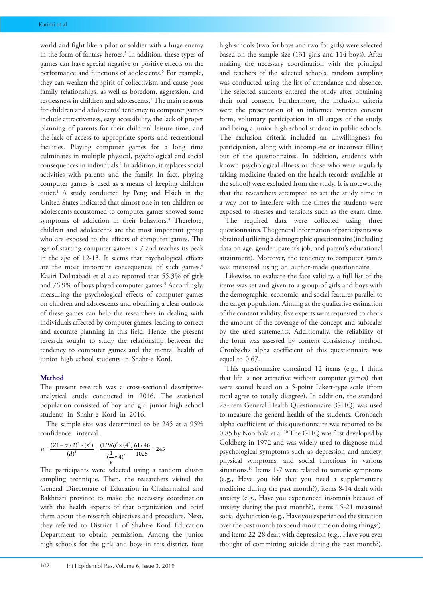world and fight like a pilot or soldier with a huge enemy in the form of fantasy heroes.<sup>5</sup> In addition, these types of games can have special negative or positive effects on the performance and functions of adolescents.6 For example, they can weaken the spirit of collectivism and cause poor family relationships, as well as boredom, aggression, and restlessness in children and adolescents.7 The main reasons for children and adolescents' tendency to computer games include attractiveness, easy accessibility, the lack of proper planning of parents for their children' leisure time, and the lack of access to appropriate sports and recreational facilities. Playing computer games for a long time culminates in multiple physical, psychological and social consequences in individuals.1 In addition, it replaces social activities with parents and the family. In fact, playing computer games is used as a means of keeping children quiet.1 A study conducted by Peng and Hsieh in the United States indicated that almost one in ten children or adolescents accustomed to computer games showed some symptoms of addiction in their behaviors.<sup>8</sup> Therefore, children and adolescents are the most important group who are exposed to the effects of computer games. The age of starting computer games is 7 and reaches its peak in the age of 12-13. It seems that psychological effects are the most important consequences of such games.<sup>6</sup> [Kasiri Dolatabadi](https://www.ncbi.nlm.nih.gov/pubmed/?term=Dolatabadi NK%5BAuthor%5D&cauthor=true&cauthor_uid=24083270) et al also reported that 55.3% of girls and 76.9% of boys played computer games.<sup>9</sup> Accordingly, measuring the psychological effects of computer games on children and adolescents and obtaining a clear outlook of these games can help the researchers in dealing with individuals affected by computer games, leading to correct and accurate planning in this field. Hence, the present research sought to study the relationship between the tendency to computer games and the mental health of junior high school students in Shahr-e Kord.

## **Method**

The present research was a cross-sectional descriptiveanalytical study conducted in 2016. The statistical population consisted of boy and girl junior high school students in Shahr-e Kord in 2016.

The sample size was determined to be 245 at a 95% confidence interval.

$$
n = \frac{(Z1 - \alpha/2)^2 \times (s^2)}{(d)^2} = \frac{(1/96)^2 \times (4^2)}{\left(\frac{1}{g} \times 4\right)^2} \frac{61/46}{1025} = 245
$$

The participants were selected using a random cluster sampling technique. Then, the researchers visited the General Directorate of Education in Chaharmahal and Bakhtiari province to make the necessary coordination with the health experts of that organization and brief them about the research objectives and procedure. Next, they referred to District 1 of Shahr-e Kord Education Department to obtain permission. Among the junior high schools for the girls and boys in this district, four

high schools (two for boys and two for girls) were selected based on the sample size (131 girls and 114 boys). After making the necessary coordination with the principal and teachers of the selected schools, random sampling was conducted using the list of attendance and absence. The selected students entered the study after obtaining their oral consent. Furthermore, the inclusion criteria were the presentation of an informed written consent form, voluntary participation in all stages of the study, and being a junior high school student in public schools. The exclusion criteria included an unwillingness for participation, along with incomplete or incorrect filling out of the questionnaires. In addition, students with known psychological illness or those who were regularly taking medicine (based on the health records available at the school) were excluded from the study. It is noteworthy that the researchers attempted to set the study time in a way not to interfere with the times the students were exposed to stresses and tensions such as the exam time.

The required data were collected using three questionnaires. The general information of participants was obtained utilizing a demographic questionnaire (including data on age, gender, parent's job, and parent's educational attainment). Moreover, the tendency to computer games was measured using an author-made questionnaire.

Likewise, to evaluate the face validity, a full list of the items was set and given to a group of girls and boys with the demographic, economic, and social features parallel to the target population. Aiming at the qualitative estimation of the content validity, five experts were requested to check the amount of the coverage of the concept and subscales by the used statements. Additionally, the reliability of the form was assessed by content consistency method. Cronbach's alpha coefficient of this questionnaire was equal to 0.67.

This questionnaire contained 12 items (e.g., I think that life is not attractive without computer games) that were scored based on a 5-point Likert-type scale (from total agree to totally disagree). In addition, the standard 28-item General Health Questionnaire (GHQ) was used to measure the general health of the students. Cronbach alpha coefficient of this questionnaire was reported to be 0.85 by Noorbala et al.<sup>10</sup> The GHQ was first developed by Goldberg in 1972 and was widely used to diagnose mild psychological symptoms such as depression and anxiety, physical symptoms, and social functions in various situations.<sup>10</sup> Items 1-7 were related to somatic symptoms (e.g., Have you felt that you need a supplementary medicine during the past month?), items 8-14 dealt with anxiety (e.g., Have you experienced insomnia because of anxiety during the past month?), items 15-21 measured social dysfunction (e.g., Have you experienced the situation over the past month to spend more time on doing things?), and items 22-28 dealt with depression (e.g., Have you ever thought of committing suicide during the past month?).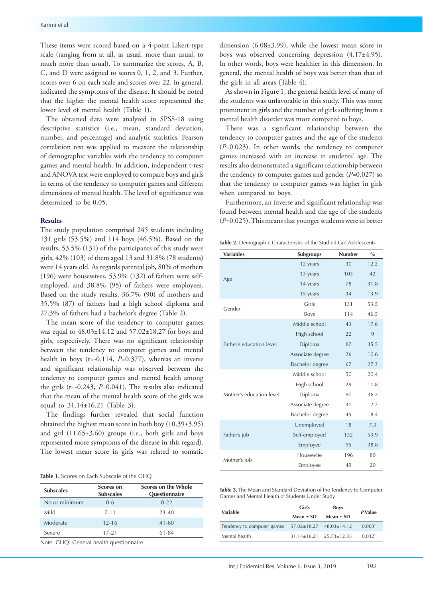These items were scored based on a 4-point Likert-type scale (ranging from at all, as usual, more than usual, to much more than usual). To summarize the scores, A, B, C, and D were assigned to scores 0, 1, 2, and 3. Further, scores over 6 on each scale and scores over 22, in general, indicated the symptoms of the disease. It should be noted that the higher the mental health score represented the lower level of mental health (Table 1).

The obtained data were analyzed in SPSS-18 using descriptive statistics (i.e., mean, standard deviation, number, and percentage) and analytic statistics. Pearson correlation test was applied to measure the relationship of demographic variables with the tendency to computer games and mental health. In addition, independent t-test and ANOVA test were employed to compare boys and girls in terms of the tendency to computer games and different dimensions of mental health. The level of significance was determined to be 0.05.

## **Results**

The study population comprised 245 students including 131 girls (53.5%) and 114 boys (46.5%). Based on the results, 53.5% (131) of the participants of this study were girls, 42% (103) of them aged 13 and 31.8% (78 students) were 14 years old. As regards parental job, 80% of mothers (196) were housewives, 53.9% (132) of fathers were selfemployed, and 38.8% (95) of fathers were employees. Based on the study results, 36.7% (90) of mothers and 35.5% (87) of fathers had a high school diploma and 27.3% of fathers had a bachelor's degree (Table 2).

The mean score of the tendency to computer games was equal to 48.03±14.12 and 57.02±18.27 for boys and girls, respectively. There was no significant relationship between the tendency to computer games and mental health in boys (r=-0.114, *P*=0.377), whereas an inverse and significant relationship was observed between the tendency to computer games and mental health among the girls (r=-0.243, *P*=0.041). The results also indicated that the mean of the mental health score of the girls was equal to 31.14±16.21 (Table 3).

The findings further revealed that social function obtained the highest mean score in both boy (10.39±3.95) and girl (11.65±3.60) groups (i.e., both girls and boys represented more symptoms of the disease in this regard). The lowest mean score in girls was related to somatic

#### **Table 1.** Scores on Each Subscale of the GHQ

| <b>Subscales</b> | Scores on<br><b>Subscales</b> | Scores on the Whole<br><b>Questionnaire</b> |  |  |
|------------------|-------------------------------|---------------------------------------------|--|--|
| No or minimum    | $0 - 6$                       | $0-22$                                      |  |  |
| Mild             | $7 - 11$                      | 23-40                                       |  |  |
| Moderate         | $12 - 16$                     | $41 - 60$                                   |  |  |
| Severe           | $17 - 21$                     | 61-84                                       |  |  |

Note. GHQ: General health questionnaire.

dimension (6.08±3.99), while the lowest mean score in boys was observed concerning depression (4.17±4.95). In other words, boys were healthier in this dimension. In general, the mental health of boys was better than that of the girls in all areas (Table 4).

As shown in Figure 1, the general health level of many of the students was unfavorable in this study. This was more prominent in girls and the number of girls suffering from a mental health disorder was more compared to boys.

There was a significant relationship between the tendency to computer games and the age of the students (*P*=0.023). In other words, the tendency to computer games increased with an increase in students' age. The results also demonstrated a significant relationship between the tendency to computer games and gender (*P*=0.027) so that the tendency to computer games was higher in girls when compared to boys.

Furthermore, an inverse and significant relationship was found between mental health and the age of the students (*P*=0.025). This means that younger students were in better

**Table 2.** Demographic Characteristic of the Studied Girl Adolescents

| <b>Variables</b>         | <b>Subgroups</b> | <b>Number</b> | $\frac{0}{0}$ |
|--------------------------|------------------|---------------|---------------|
|                          | 12 years         | 30            | 12.2          |
|                          | 13 years         | 103           | 42            |
| Age                      | 14 years         | 78            | 31.8          |
|                          | 15 years         | 34            | 13.9          |
|                          | Girls            | 131           | 53.5          |
| Gender                   | <b>Boys</b>      | 114           | 46.5          |
|                          | Middle school    | 43            | 17.6          |
|                          | High school      | 22            | 9             |
| Father's education level | Diploma          | 87            | 35.5          |
|                          | Associate degree | 26            | 10.6          |
|                          | Bachelor degree  | 67            | 27.3          |
|                          | Middle school    | 50            | 20.4          |
|                          | High school      | 29            | 11.8          |
| Mother's education level | Diploma          | 90            | 36.7          |
|                          | Associate degree | 31            | 12.7          |
|                          | Bachelor degree  | 45            | 18.4          |
|                          | Unemployed       | 18            | 7.3           |
| Father's job             | Self-employed    | 132           | 53.9          |
|                          | Employee         | 95            | 38.8          |
|                          | Housewife        | 196           | 80            |
| Mother's job             | Employee         | 49            | 20            |

**Table 3.** The Mean and Standard Deviation of the Tendency to Computer Games and Mental Health of Students Under Study

| Variable                   | Girls         | <b>Boys</b>                         | P Value  |  |
|----------------------------|---------------|-------------------------------------|----------|--|
|                            | Mean $\pm$ SD | Mean $\pm$ SD                       |          |  |
| Tendency to computer games |               | $57.02 \pm 18.27$ $48.03 \pm 14.12$ | $0.003*$ |  |
| Mental health              |               | $31.14+16.21$ $25.73+12.33$         | $0.032*$ |  |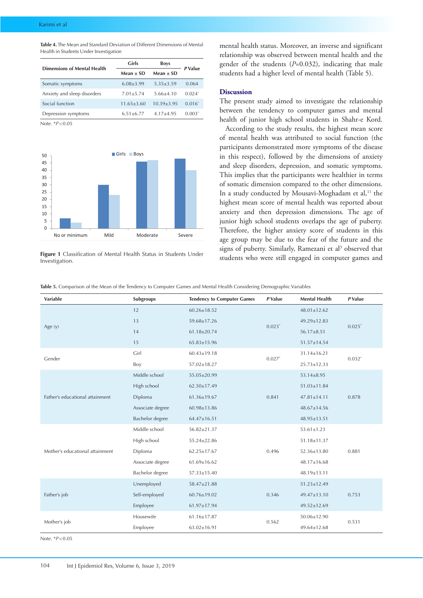**Table 4.** The Mean and Standard Deviation of Different Dimensions of Mental Health in Students Under Investigation

| Dimensions of Mental Health | Girls            | <b>Boys</b>    | P Value   |  |
|-----------------------------|------------------|----------------|-----------|--|
|                             | Mean $\pm$ SD    | Mean $\pm$ SD  |           |  |
| Somatic symptoms            | $6.08 + 3.99$    | $5.35 + 3.59$  | 0.064     |  |
| Anxiety and sleep disorders | $7.01 + 5.74$    | $5.66 + 4.10$  | $0.024*$  |  |
| Social function             | $11.65 \pm 3.60$ | $10.39 + 3.95$ | $0.016^*$ |  |
| Depression symptoms         | $6.51 + 6.77$    | $4.17 + 4.95$  | $0.003*$  |  |

Note. \**P*<0.05



**Figure 1** Classification of Mental Health Status in Students Under Investigation.

mental health status. Moreover, an inverse and significant relationship was observed between mental health and the gender of the students (*P*=0.032), indicating that male students had a higher level of mental health (Table 5).

### **Discussion**

The present study aimed to investigate the relationship between the tendency to computer games and mental health of junior high school students in Shahr-e Kord.

According to the study results, the highest mean score of mental health was attributed to social function (the participants demonstrated more symptoms of the disease in this respect), followed by the dimensions of anxiety and sleep disorders, depression, and somatic symptoms. This implies that the participants were healthier in terms of somatic dimension compared to the other dimensions. In a study conducted by Mousavi-Moghadam et al,<sup>11</sup> the highest mean score of mental health was reported about anxiety and then depression dimensions. The age of junior high school students overlaps the age of puberty. Therefore, the higher anxiety score of students in this age group may be due to the fear of the future and the signs of puberty. Similarly, Ramezani et al<sup>3</sup> observed that students who were still engaged in computer games and

**Table 5.** Comparison of the Mean of the Tendency to Computer Games and Mental Health Considering Demographic Variables

| <b>Variable</b>                 | Subgroups        | <b>Tendency to Computer Games</b> | P Value              | <b>Mental Health</b> | <b>P</b> Value |
|---------------------------------|------------------|-----------------------------------|----------------------|----------------------|----------------|
| Age $(y)$                       | 12               | $60.26 \pm 18.52$                 |                      | $48.01 \pm 12.62$    | $0.025*$       |
|                                 | 13               | 59.68±17.26                       | $0.023*$             | 49.29±12.83          |                |
|                                 | 14               | $61.18 \pm 20.74$                 |                      | $56.17 \pm 8.51$     |                |
|                                 | 15               | $65.83 \pm 15.96$                 |                      | 51.57±14.54          |                |
| Gender                          | Girl             | $60.43 \pm 19.18$                 |                      | 31.14±16.21          | $0.032*$       |
|                                 | Boy              | 57.02±18.27                       | $0.027$ <sup>*</sup> | $25.73 \pm 12.33$    |                |
| Father's educational attainment | Middle school    | 55.05±20.99                       |                      | $53.14 \pm 8.95$     | 0.878          |
|                                 | High school      | $62.50 \pm 17.49$                 |                      | $51.03 \pm 11.84$    |                |
|                                 | Diploma          | $61.36 \pm 19.67$                 | 0.841                | $47.81 \pm 14.11$    |                |
|                                 | Associate degree | $60.98 \pm 13.86$                 |                      | 48.67±14.56          |                |
|                                 | Bachelor degree  | $64.47 \pm 16.51$                 |                      | $48.95 \pm 13.51$    |                |
|                                 | Middle school    | 56.82±21.37                       | 0.496                | $53.61 \pm 1.23$     | 0.881          |
|                                 | High school      | 55.24±22.86                       |                      | 51.18±11.37          |                |
| Mother's educational attainment | Diploma          | $62.25 \pm 17.67$                 |                      | 52.36±13.80          |                |
|                                 | Associate degree | $61.69 \pm 16.62$                 |                      | 48.17±16.68          |                |
|                                 | Bachelor degree  | $57.33 \pm 15.40$                 |                      | 48.19±13.11          |                |
| Father's job                    | Unemployed       | 58.47±21.88                       |                      | $51.23 \pm 12.49$    |                |
|                                 | Self-employed    | 60.76±19.02                       | 0.346                | 49.47±13.10          | 0.753          |
|                                 | Employee         | 61.97±17.94                       |                      | $49.52 \pm 12.69$    |                |
| Mother's job                    | Housewife        | $61.16 \pm 17.87$                 | 0.562                | 50.06±12.90          | 0.531          |
|                                 | Employee         | $63.02 \pm 16.91$                 |                      | 49.64±12.68          |                |

Note. \**P*<0.05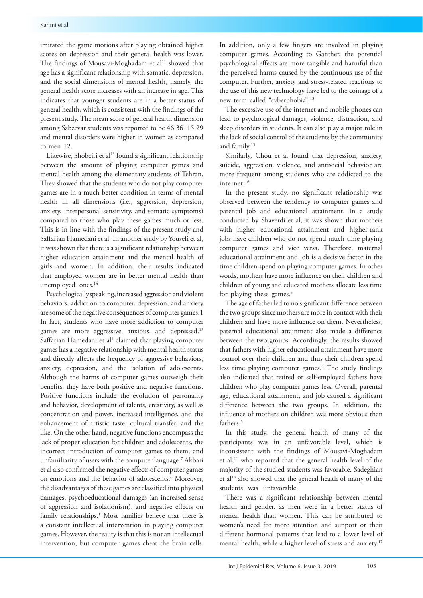imitated the game motions after playing obtained higher scores on depression and their general health was lower. The findings of Mousavi-Moghadam et al<sup>11</sup> showed that age has a significant relationship with somatic, depression, and the social dimensions of mental health, namely, the general health score increases with an increase in age. This indicates that younger students are in a better status of general health, which is consistent with the findings of the present study. The mean score of general health dimension among Sabzevar students was reported to be 46.36±15.29 and mental disorders were higher in women as compared to men 12.

Likewise, Shobeiri et al<sup>13</sup> found a significant relationship between the amount of playing computer games and mental health among the elementary students of Tehran. They showed that the students who do not play computer games are in a much better condition in terms of mental health in all dimensions (i.e., aggression, depression, anxiety, interpersonal sensitivity, and somatic symptoms) compared to those who play these games much or less. This is in line with the findings of the present study and Saffarian Hamedani et al<sup>1</sup> In another study by Yousefi et al, it was shown that there is a significant relationship between higher education attainment and the mental health of girls and women. In addition, their results indicated that employed women are in better mental health than unemployed ones.<sup>14</sup>

Psychologically speaking, increased aggression and violent behaviors, addiction to computer, depression, and anxiety are some of the negative consequences of computer games.1 In fact, students who have more addiction to computer games are more aggressive, anxious, and depressed.<sup>13</sup> Saffarian Hamedani et al<sup>1</sup> claimed that playing computer games has a negative relationship with mental health status and directly affects the frequency of aggressive behaviors, anxiety, depression, and the isolation of adolescents. Although the harms of computer games outweigh their benefits, they have both positive and negative functions. Positive functions include the evolution of personality and behavior, development of talents, creativity, as well as concentration and power, increased intelligence, and the enhancement of artistic taste, cultural transfer, and the like. On the other hand, negative functions encompass the lack of proper education for children and adolescents, the incorrect introduction of computer games to them, and unfamiliarity of users with the computer language.7 Akbari et al also confirmed the negative effects of computer games on emotions and the behavior of adolescents.<sup>6</sup> Moreover, the disadvantages of these games are classified into physical damages, psychoeducational damages (an increased sense of aggression and isolationism), and negative effects on family relationships.<sup>1</sup> Most families believe that there is a constant intellectual intervention in playing computer games. However, the reality is that this is not an intellectual intervention, but computer games cheat the brain cells.

In addition, only a few fingers are involved in playing computer games. According to Ganther, the potential psychological effects are more tangible and harmful than the perceived harms caused by the continuous use of the computer. Further, anxiety and stress-related reactions to the use of this new technology have led to the coinage of a new term called "cyberphobia".13

The excessive use of the internet and mobile phones can lead to psychological damages, violence, distraction, and sleep disorders in students. It can also play a major role in the lack of social control of the students by the community and family.15

Similarly, Chou et al found that depression, anxiety, suicide, aggression, violence, and antisocial behavior are more frequent among students who are addicted to the internet.<sup>16</sup>

In the present study, no significant relationship was observed between the tendency to computer games and parental job and educational attainment. In a study conducted by Shaverdi et al, it was shown that mothers with higher educational attainment and higher-rank jobs have children who do not spend much time playing computer games and vice versa. Therefore, maternal educational attainment and job is a decisive factor in the time children spend on playing computer games. In other words, mothers have more influence on their children and children of young and educated mothers allocate less time for playing these games.<sup>5</sup>

The age of father led to no significant difference between the two groups since mothers are more in contact with their children and have more influence on them. Nevertheless, paternal educational attainment also made a difference between the two groups. Accordingly, the results showed that fathers with higher educational attainment have more control over their children and thus their children spend less time playing computer games.<sup>5</sup> The study findings also indicated that retired or self-employed fathers have children who play computer games less. Overall, parental age, educational attainment, and job caused a significant difference between the two groups. In addition, the influence of mothers on children was more obvious than fathers.<sup>5</sup>

In this study, the general health of many of the participants was in an unfavorable level, which is inconsistent with the findings of Mousavi-Moghadam et al,<sup>11</sup> who reported that the general health level of the majority of the studied students was favorable. Sadeghian et al18 also showed that the general health of many of the students was unfavorable.

There was a significant relationship between mental health and gender, as men were in a better status of mental health than women. This can be attributed to women's need for more attention and support or their different hormonal patterns that lead to a lower level of mental health, while a higher level of stress and anxiety.<sup>17</sup>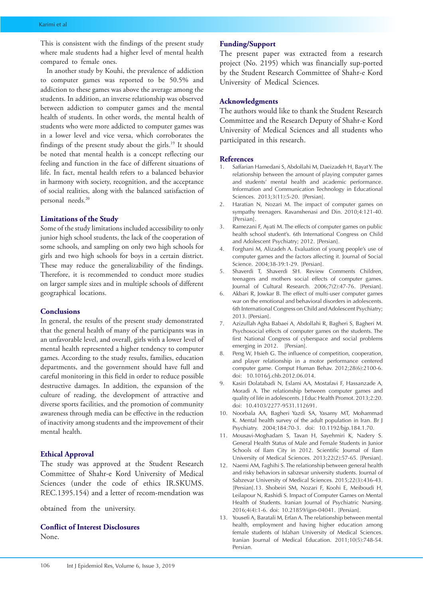This is consistent with the findings of the present study where male students had a higher level of mental health compared to female ones.

In another study by Kouhi, the prevalence of addiction to computer games was reported to be 50.5% and addiction to these games was above the average among the students. In addition, an inverse relationship was observed between addiction to computer games and the mental health of students. In other words, the mental health of students who were more addicted to computer games was in a lower level and vice versa, which corroborates the findings of the present study about the girls.19 It should be noted that mental health is a concept reflecting our feeling and function in the face of different situations of life. In fact, mental health refers to a balanced behavior in harmony with society, recognition, and the acceptance of social realities, along with the balanced satisfaction of personal needs.20

## **Limitations of the Study**

Some of the study limitations included accessibility to only junior high school students, the lack of the cooperation of some schools, and sampling on only two high schools for girls and two high schools for boys in a certain district. These may reduce the generalizability of the findings. Therefore, it is recommended to conduct more studies on larger sample sizes and in multiple schools of different geographical locations.

## **Conclusions**

In general, the results of the present study demonstrated that the general health of many of the participants was in an unfavorable level, and overall, girls with a lower level of mental health represented a higher tendency to computer games. According to the study results, families, education departments, and the government should have full and careful monitoring in this field in order to reduce possible destructive damages. In addition, the expansion of the culture of reading, the development of attractive and diverse sports facilities, and the promotion of community awareness through media can be effective in the reduction of inactivity among students and the improvement of their mental health.

## **Ethical Approval**

The study was approved at the Student Research Committee of Shahr-e Kord University of Medical Sciences (under the code of ethics IR.SKUMS. REC.1395.154) and a letter of recom-mendation was

obtained from the university.

# **Conflict of Interest Disclosures**

None.

# **Funding/Support**

The present paper was extracted from a research project (No. 2195) which was financially sup-ported by the Student Research Committee of Shahr-e Kord University of Medical Sciences.

# **Acknowledgments**

The authors would like to thank the Student Research Committee and the Research Deputy of Shahr-e Kord University of Medical Sciences and all students who participated in this research.

#### **References**

- 1. Saffarian Hamedani S, Abdollahi M, Daeizadeh H, Bayat Y. The relationship between the amount of playing computer games and students' mental health and academic performance. Information and Communication Technology in Educational Sciences. 2013;3(11):5-20. [Persian].
- 2. Haratian N, Nozari M. The impact of computer games on sympathy teenagers. Ravanshenasi and Din. 2010;4:121-40. [Persian].
- 3. Ramezani F, Ayati M. The effects of computer games on public health school student's. 6th International Congress on Child and Adolescent Psychiatry; 2012. [Persian].
- 4. Forghani M, Alizadeh A. Evaluation of young people's use of computer games and the factors affecting it. Journal of Social Science. 2004;38-39:1-29. [Persian].
- 5. Shaverdi T, Shaverdi SH. Review Comments Children, teenagers and mothers social effects of computer games. Journal of Cultural Research. 2006;7(2):47-76. [Persian].
- 6. Akbari R, Jowkar B. The effect of multi-user computer games war on the emotional and behavioral disorders in adolescents. 6th International Congress on Child and Adolescent Psychiatry; 2013. [Persian].
- 7. Azizullah Agha Babaei A, Abdollahi R, Bagheri S, Bagheri M. Psychosocial effects of computer games on the students. The first National Congress of cyberspace and social problems emerging in 2012. [Persian].
- 8. Peng W, Hsieh G. The influence of competition, cooperation, and player relationship in a motor performance centered computer game. Comput Human Behav. 2012;28(6):2100-6. doi: 10.1016/j.chb.2012.06.014.
- 9. Kasiri Dolatabadi N, Eslami AA, Mostafavi F, Hassanzade A, Moradi A. The relationship between computer games and quality of life in adolescents. J Educ Health Promot. 2013;2:20. doi: 10.4103/2277-9531.112691.
- 10. Noorbala AA, Bagheri Yazdi SA, Yasamy MT, Mohammad K. Mental health survey of the adult population in Iran. Br J Psychiatry. 2004;184:70-3. doi: 10.1192/bjp.184.1.70.
- 11. Mousavi-Moghadam S, Tavan H, Sayehmiri K, Nadery S. General Health Status of Male and Female Students in Junior Schools of Ilam City in 2012. Scientific Journal of Ilam University of Medical Sciences. 2013;22(2):57-65. [Persian].
- 12. Naemi AM, Faghihi S. The relationship between general health and risky behaviors in sabzevar university students. Journal of Sabzevar University of Medical Sciences. 2015;22(3):436-43. [Persian].13. Shobeiri SM, Nozari F, Koohi E, Meiboudi H, Leilapour N, Rashidi S. Impact of Computer Games on Mental Health of Students. Iranian Journal of Psychiatric Nursing. 2016;4(4):1-6. doi: 10.21859/ijpn-04041. [Persian].
- 13. Yousefi A, Baratali M, Erfan A. The relationship between mental health, employment and having higher education among female students of Isfahan University of Medical Sciences. Iranian Journal of Medical Education. 2011;10(5):748-54. Persian.